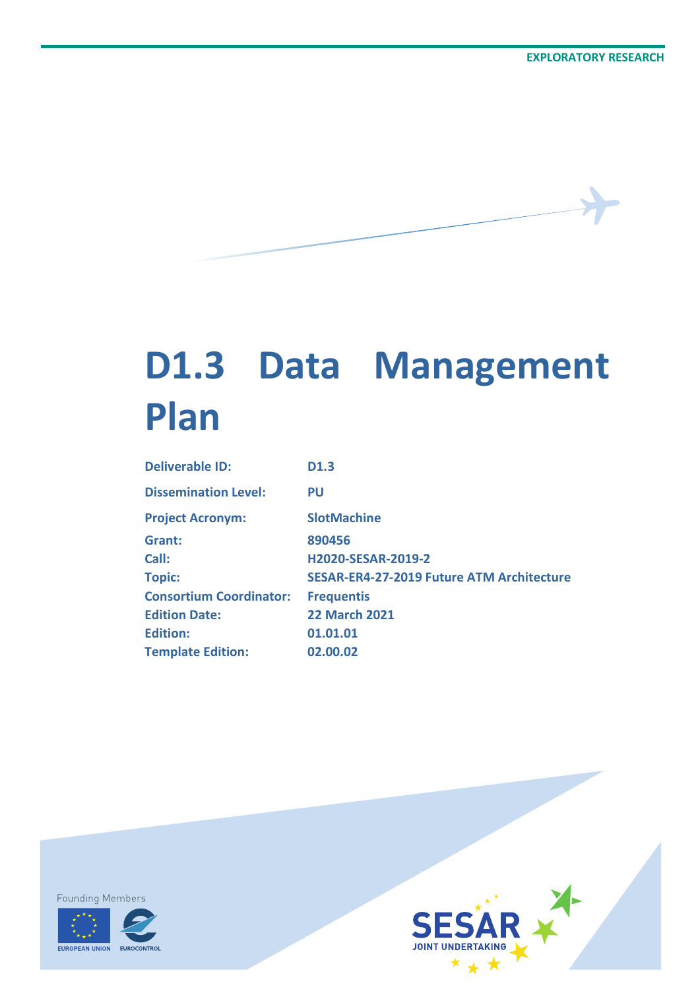# **D1.3 Data Management Plan**

| <b>Deliverable ID:</b>         | D <sub>1.3</sub>                                 |
|--------------------------------|--------------------------------------------------|
| <b>Dissemination Level:</b>    | PU                                               |
| <b>Project Acronym:</b>        | <b>SlotMachine</b>                               |
| Grant:                         | 890456                                           |
| Call:                          | <b>H2020-SESAR-2019-2</b>                        |
| <b>Topic:</b>                  | <b>SESAR-ER4-27-2019 Future ATM Architecture</b> |
| <b>Consortium Coordinator:</b> | <b>Frequentis</b>                                |
| <b>Edition Date:</b>           | <b>22 March 2021</b>                             |
| <b>Edition:</b>                | 01.01.01                                         |
| <b>Template Edition:</b>       | 02.00.02                                         |





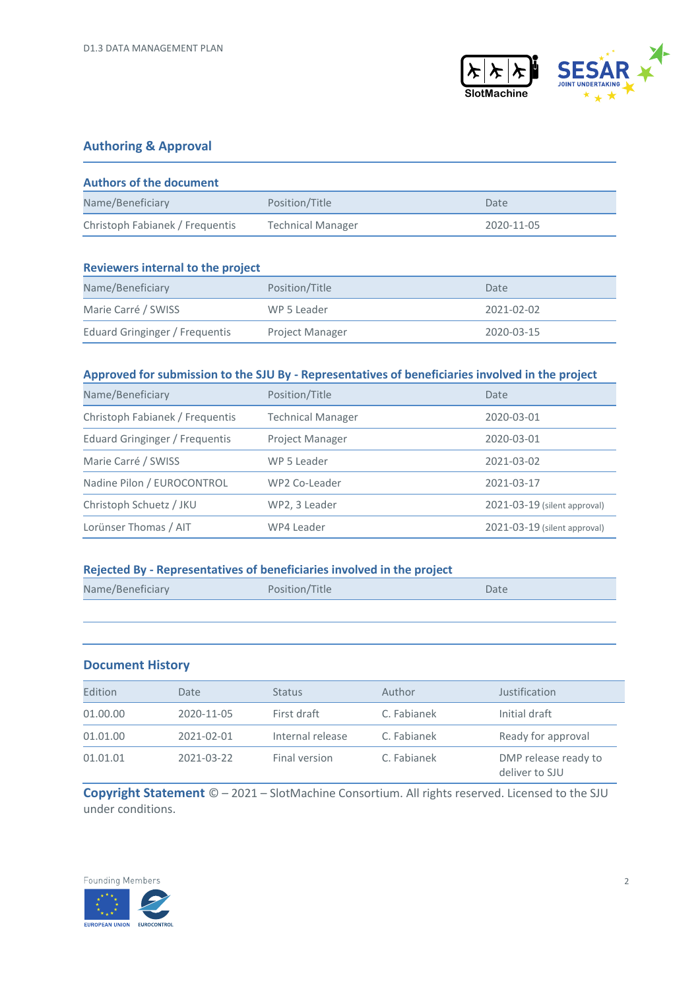

#### **Authoring & Approval**

| <b>Authors of the document</b>  |                          |            |
|---------------------------------|--------------------------|------------|
| Name/Beneficiary                | Position/Title           | Date       |
| Christoph Fabianek / Frequentis | <b>Technical Manager</b> | 2020-11-05 |

| <b>Reviewers internal to the project</b> |                        |            |
|------------------------------------------|------------------------|------------|
| Name/Beneficiary                         | Position/Title         | Date       |
| Marie Carré / SWISS                      | WP 5 Leader            | 2021-02-02 |
| Eduard Gringinger / Frequentis           | <b>Project Manager</b> | 2020-03-15 |

#### **Approved for submission to the SJU By - Representatives of beneficiaries involved in the project**

| Name/Beneficiary                | Position/Title           | Date                         |
|---------------------------------|--------------------------|------------------------------|
| Christoph Fabianek / Frequentis | <b>Technical Manager</b> | 2020-03-01                   |
| Eduard Gringinger / Frequentis  | <b>Project Manager</b>   | 2020-03-01                   |
| Marie Carré / SWISS             | WP 5 Leader              | 2021-03-02                   |
| Nadine Pilon / EUROCONTROL      | WP2 Co-Leader            | 2021-03-17                   |
| Christoph Schuetz / JKU         | WP2, 3 Leader            | 2021-03-19 (silent approval) |
| Lorünser Thomas / AIT           | WP4 Leader               | 2021-03-19 (silent approval) |

#### **Rejected By - Representatives of beneficiaries involved in the project**

| Name/Beneficiary | Position/Title | Date |
|------------------|----------------|------|
|                  |                |      |

#### **Document History**

| Edition  | Date       | <b>Status</b>    | Author      | Justification                          |
|----------|------------|------------------|-------------|----------------------------------------|
| 01.00.00 | 2020-11-05 | First draft      | C. Fabianek | Initial draft                          |
| 01.01.00 | 2021-02-01 | Internal release | C. Fabianek | Ready for approval                     |
| 01.01.01 | 2021-03-22 | Final version    | C. Fabianek | DMP release ready to<br>deliver to SJU |

**Copyright Statement** © – 2021 – SlotMachine Consortium. All rights reserved. Licensed to the SJU under conditions.

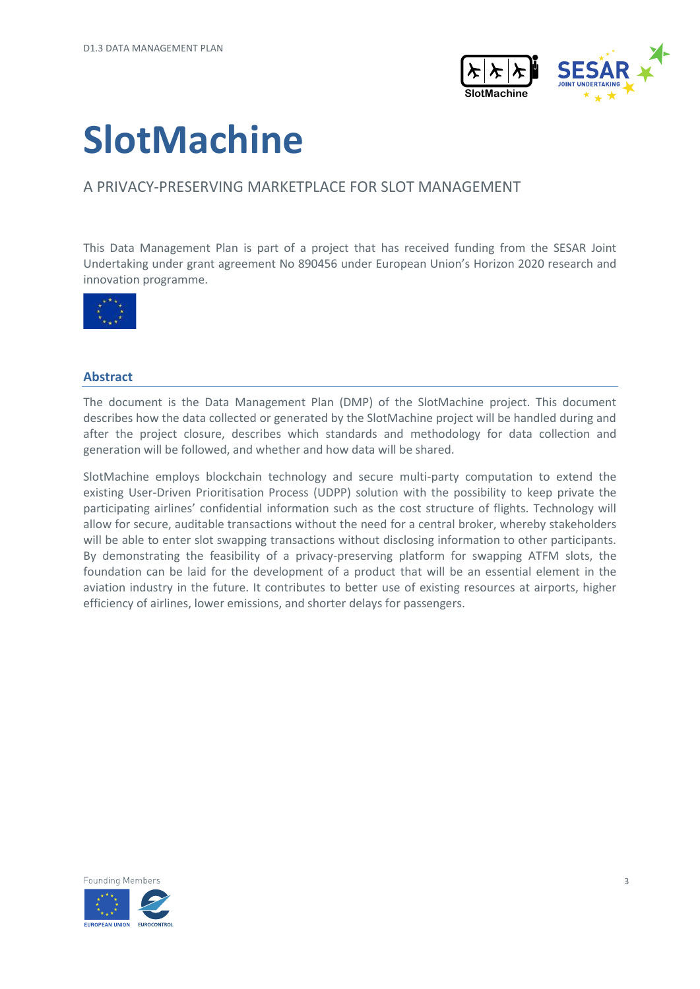

# **SlotMachine**

#### A PRIVACY-PRESERVING MARKETPLACE FOR SLOT MANAGEMENT

This Data Management Plan is part of a project that has received funding from the SESAR Joint Undertaking under grant agreement No 890456 under European Union's Horizon 2020 research and innovation programme.



#### **Abstract**

The document is the Data Management Plan (DMP) of the SlotMachine project. This document describes how the data collected or generated by the SlotMachine project will be handled during and after the project closure, describes which standards and methodology for data collection and generation will be followed, and whether and how data will be shared.

SlotMachine employs blockchain technology and secure multi-party computation to extend the existing User-Driven Prioritisation Process (UDPP) solution with the possibility to keep private the participating airlines' confidential information such as the cost structure of flights. Technology will allow for secure, auditable transactions without the need for a central broker, whereby stakeholders will be able to enter slot swapping transactions without disclosing information to other participants. By demonstrating the feasibility of a privacy-preserving platform for swapping ATFM slots, the foundation can be laid for the development of a product that will be an essential element in the aviation industry in the future. It contributes to better use of existing resources at airports, higher efficiency of airlines, lower emissions, and shorter delays for passengers.

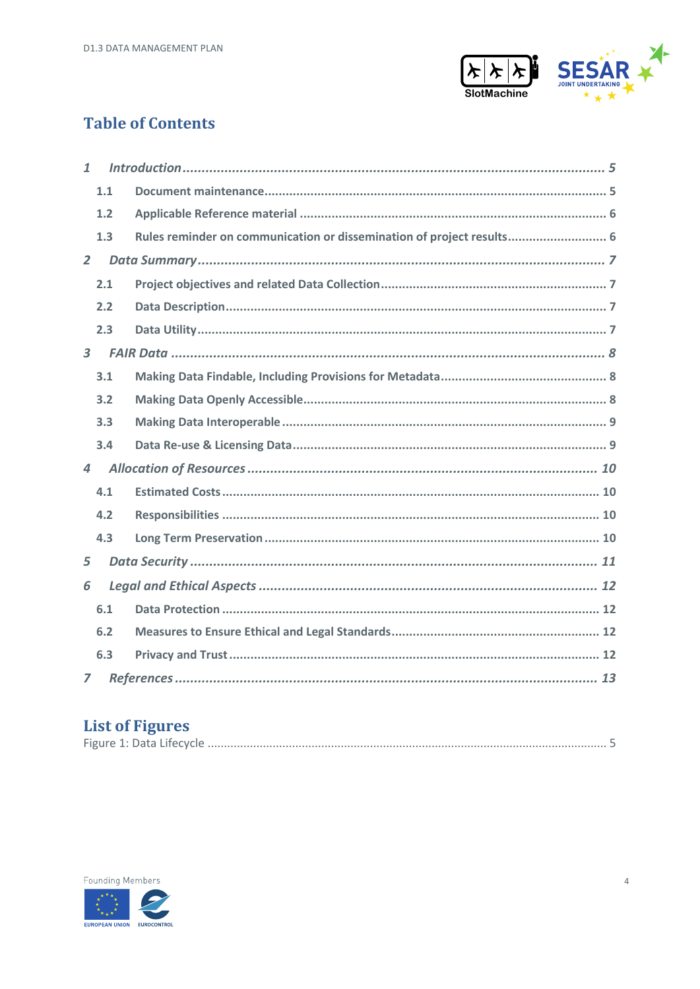

### **Table of Contents**

| $\mathbf{1}$            |     |                                                                       |
|-------------------------|-----|-----------------------------------------------------------------------|
|                         | 1.1 |                                                                       |
|                         | 1.2 |                                                                       |
|                         | 1.3 | Rules reminder on communication or dissemination of project results 6 |
| $\overline{2}$          |     |                                                                       |
|                         | 2.1 |                                                                       |
|                         | 2.2 |                                                                       |
|                         | 2.3 |                                                                       |
| $\overline{\mathbf{3}}$ |     |                                                                       |
|                         | 3.1 |                                                                       |
|                         | 3.2 |                                                                       |
|                         | 3.3 |                                                                       |
|                         | 3.4 |                                                                       |
| $\overline{4}$          |     |                                                                       |
|                         | 4.1 |                                                                       |
|                         | 4.2 |                                                                       |
|                         | 4.3 |                                                                       |
| 5                       |     |                                                                       |
| 6                       |     |                                                                       |
|                         | 6.1 |                                                                       |
|                         | 6.2 |                                                                       |
|                         | 6.3 |                                                                       |
| $\overline{z}$          |     |                                                                       |

### **List of Figures**

|--|

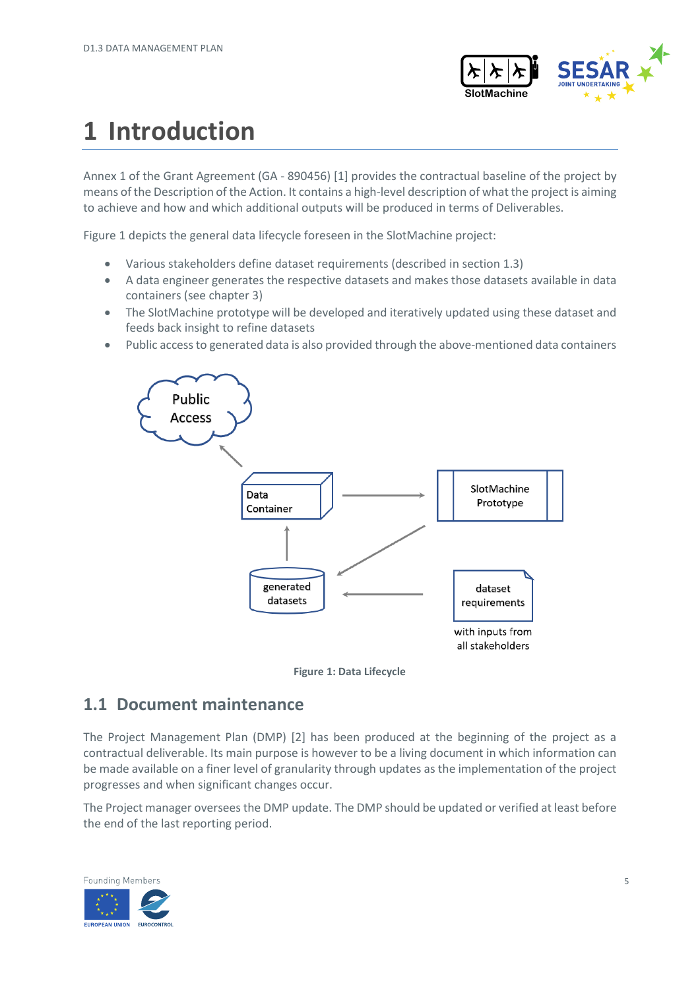

# <span id="page-4-0"></span>**1 Introduction**

Annex 1 of the Grant Agreement (GA - 890456) [\[1\]](#page-12-1) provides the contractual baseline of the project by means of the Description of the Action. It contains a high-level description of what the project is aiming to achieve and how and which additional outputs will be produced in terms of Deliverables.

Figure 1 depicts the general data lifecycle foreseen in the SlotMachine project:

- Various stakeholders define dataset requirements (described in section [1.3\)](#page-5-1)
- A data engineer generates the respective datasets and makes those datasets available in data containers (see chapte[r 3\)](#page-7-0)
- The SlotMachine prototype will be developed and iteratively updated using these dataset and feeds back insight to refine datasets
- Public access to generated data is also provided through the above-mentioned data containers





#### <span id="page-4-2"></span><span id="page-4-1"></span>**1.1 Document maintenance**

The Project Management Plan (DMP) [\[2\]](#page-12-2) has been produced at the beginning of the project as a contractual deliverable. Its main purpose is however to be a living document in which information can be made available on a finer level of granularity through updates as the implementation of the project progresses and when significant changes occur.

The Project manager oversees the DMP update. The DMP should be updated or verified at least before the end of the last reporting period.

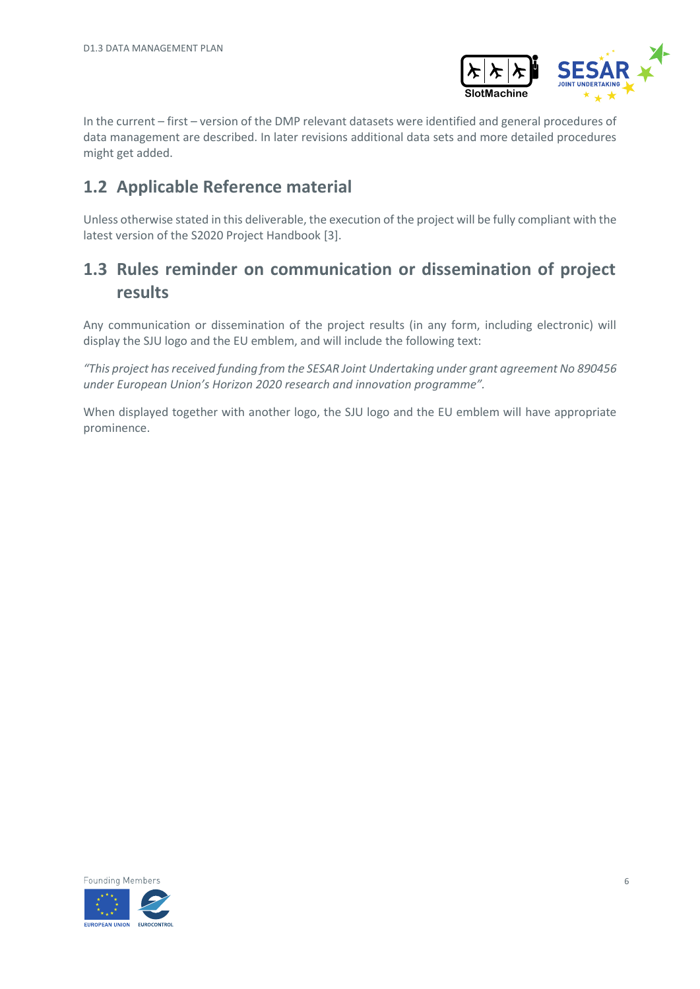

In the current – first – version of the DMP relevant datasets were identified and general procedures of data management are described. In later revisions additional data sets and more detailed procedures might get added.

### <span id="page-5-0"></span>**1.2 Applicable Reference material**

Unless otherwise stated in this deliverable, the execution of the project will be fully compliant with the latest version of the S2020 Project Handbook [\[3\].](#page-12-3)

### <span id="page-5-1"></span>**1.3 Rules reminder on communication or dissemination of project results**

Any communication or dissemination of the project results (in any form, including electronic) will display the SJU logo and the EU emblem, and will include the following text:

*"This project has received funding from the SESAR Joint Undertaking under grant agreement No 890456 under European Union's Horizon 2020 research and innovation programme".*

When displayed together with another logo, the SJU logo and the EU emblem will have appropriate prominence.

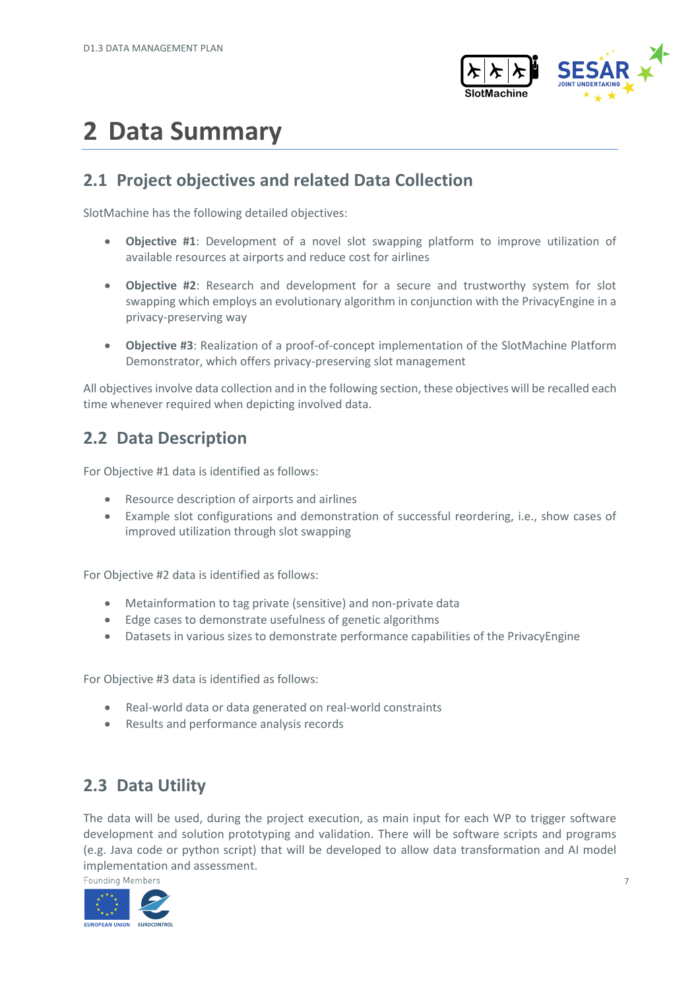

# <span id="page-6-0"></span>**2 Data Summary**

### <span id="page-6-1"></span>**2.1 Project objectives and related Data Collection**

SlotMachine has the following detailed objectives:

- **Objective #1**: Development of a novel slot swapping platform to improve utilization of available resources at airports and reduce cost for airlines
- **Objective #2**: Research and development for a secure and trustworthy system for slot swapping which employs an evolutionary algorithm in conjunction with the PrivacyEngine in a privacy-preserving way
- **Objective #3**: Realization of a proof-of-concept implementation of the SlotMachine Platform Demonstrator, which offers privacy-preserving slot management

All objectives involve data collection and in the following section, these objectives will be recalled each time whenever required when depicting involved data.

### <span id="page-6-2"></span>**2.2 Data Description**

For Objective #1 data is identified as follows:

- Resource description of airports and airlines
- Example slot configurations and demonstration of successful reordering, i.e., show cases of improved utilization through slot swapping

For Objective #2 data is identified as follows:

- Metainformation to tag private (sensitive) and non-private data
- Edge cases to demonstrate usefulness of genetic algorithms
- Datasets in various sizes to demonstrate performance capabilities of the PrivacyEngine

For Objective #3 data is identified as follows:

- Real-world data or data generated on real-world constraints
- Results and performance analysis records

### <span id="page-6-3"></span>**2.3 Data Utility**

The data will be used, during the project execution, as main input for each WP to trigger software development and solution prototyping and validation. There will be software scripts and programs (e.g. Java code or python script) that will be developed to allow data transformation and AI model implementation and assessment.

**Founding Members** 

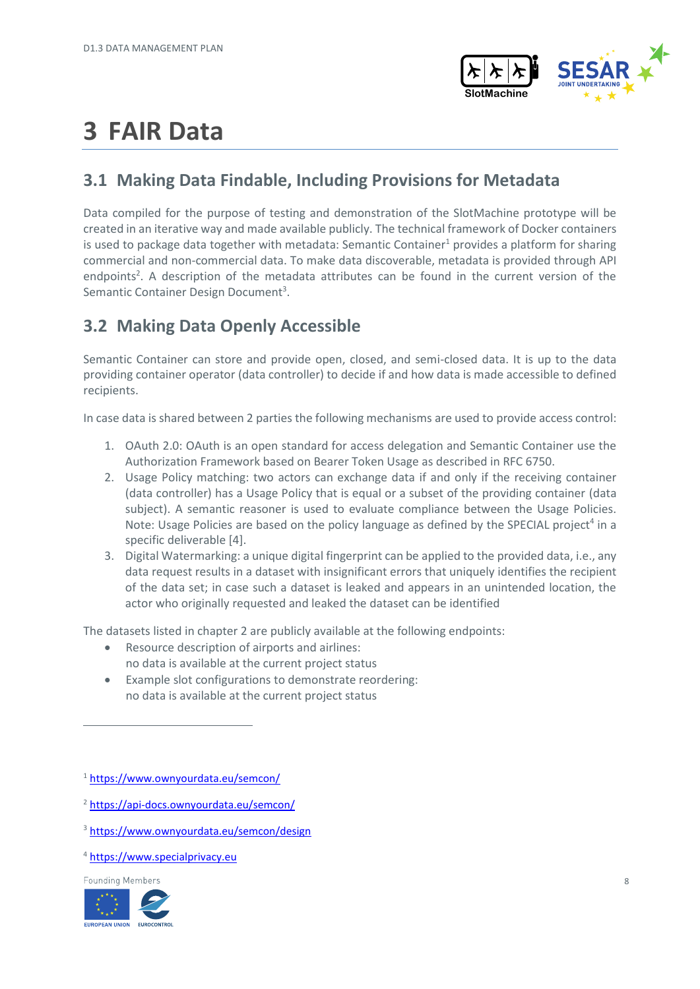

# <span id="page-7-0"></span>**3 FAIR Data**

### <span id="page-7-1"></span>**3.1 Making Data Findable, Including Provisions for Metadata**

Data compiled for the purpose of testing and demonstration of the SlotMachine prototype will be created in an iterative way and made available publicly. The technical framework of Docker containers is used to package data together with metadata: Semantic Container<sup>1</sup> provides a platform for sharing commercial and non-commercial data. To make data discoverable, metadata is provided through API endpoints<sup>2</sup>. A description of the metadata attributes can be found in the current version of the Semantic Container Design Document<sup>3</sup>.

### <span id="page-7-2"></span>**3.2 Making Data Openly Accessible**

Semantic Container can store and provide open, closed, and semi-closed data. It is up to the data providing container operator (data controller) to decide if and how data is made accessible to defined recipients.

In case data is shared between 2 parties the following mechanisms are used to provide access control:

- 1. OAuth 2.0: OAuth is an open standard for access delegation and Semantic Container use the Authorization Framework based on Bearer Token Usage as described in RFC 6750.
- 2. Usage Policy matching: two actors can exchange data if and only if the receiving container (data controller) has a Usage Policy that is equal or a subset of the providing container (data subject). A semantic reasoner is used to evaluate compliance between the Usage Policies. Note: Usage Policies are based on the policy language as defined by the SPECIAL project<sup>4</sup> in a specific deliverabl[e \[4\].](#page-12-4)
- 3. Digital Watermarking: a unique digital fingerprint can be applied to the provided data, i.e., any data request results in a dataset with insignificant errors that uniquely identifies the recipient of the data set; in case such a dataset is leaked and appears in an unintended location, the actor who originally requested and leaked the dataset can be identified

The datasets listed in chapter 2 are publicly available at the following endpoints:

- Resource description of airports and airlines: no data is available at the current project status
- Example slot configurations to demonstrate reordering: no data is available at the current project status

- <sup>2</sup> <https://api-docs.ownyourdata.eu/semcon/>
- <sup>3</sup> https://www.ownyourdata.eu/semcon/design
- <sup>4</sup> [https://www.specialprivacy.eu](https://www.specialprivacy.eu/)

**Founding Members** 



<sup>1</sup> <https://www.ownyourdata.eu/semcon/>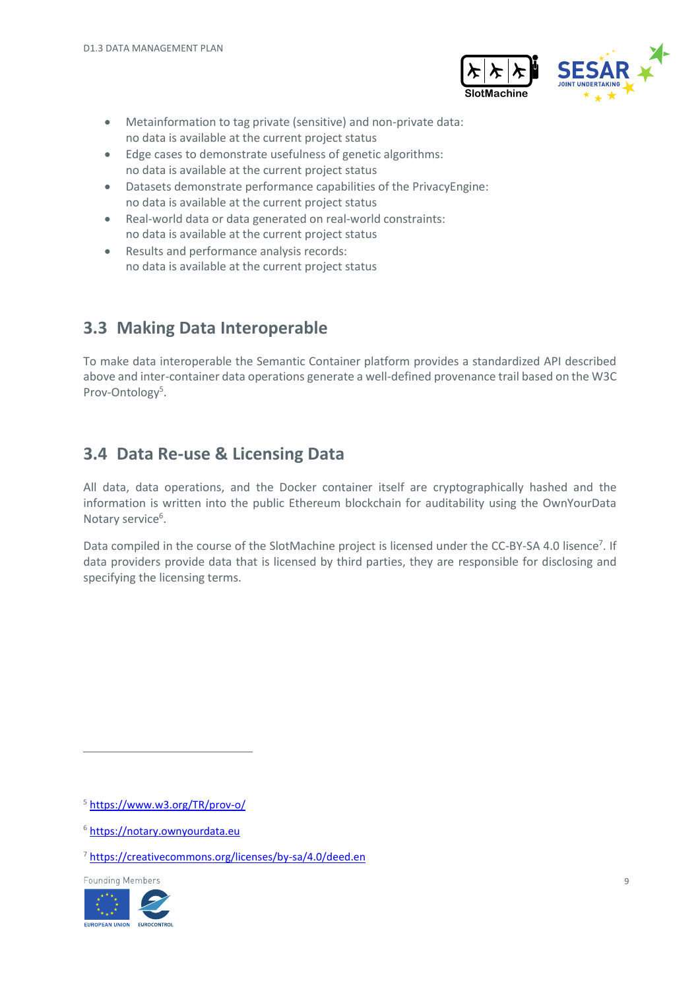

- Metainformation to tag private (sensitive) and non-private data: no data is available at the current project status
- Edge cases to demonstrate usefulness of genetic algorithms: no data is available at the current project status
- Datasets demonstrate performance capabilities of the PrivacyEngine: no data is available at the current project status
- Real-world data or data generated on real-world constraints: no data is available at the current project status
- Results and performance analysis records: no data is available at the current project status

### <span id="page-8-0"></span>**3.3 Making Data Interoperable**

To make data interoperable the Semantic Container platform provides a standardized API described above and inter-container data operations generate a well-defined provenance trail based on the W3C Prov-Ontology<sup>5</sup>.

### <span id="page-8-1"></span>**3.4 Data Re-use & Licensing Data**

All data, data operations, and the Docker container itself are cryptographically hashed and the information is written into the public Ethereum blockchain for auditability using the OwnYourData Notary service<sup>6</sup>.

Data compiled in the course of the SlotMachine project is licensed under the CC-BY-SA 4.0 lisence<sup>7</sup>. If data providers provide data that is licensed by third parties, they are responsible for disclosing and specifying the licensing terms.

**Founding Members** 



<sup>5</sup> <https://www.w3.org/TR/prov-o/>

<sup>6</sup> [https://notary.ownyourdata.eu](https://notary.ownyourdata.eu/)

<sup>7</sup> <https://creativecommons.org/licenses/by-sa/4.0/deed.en>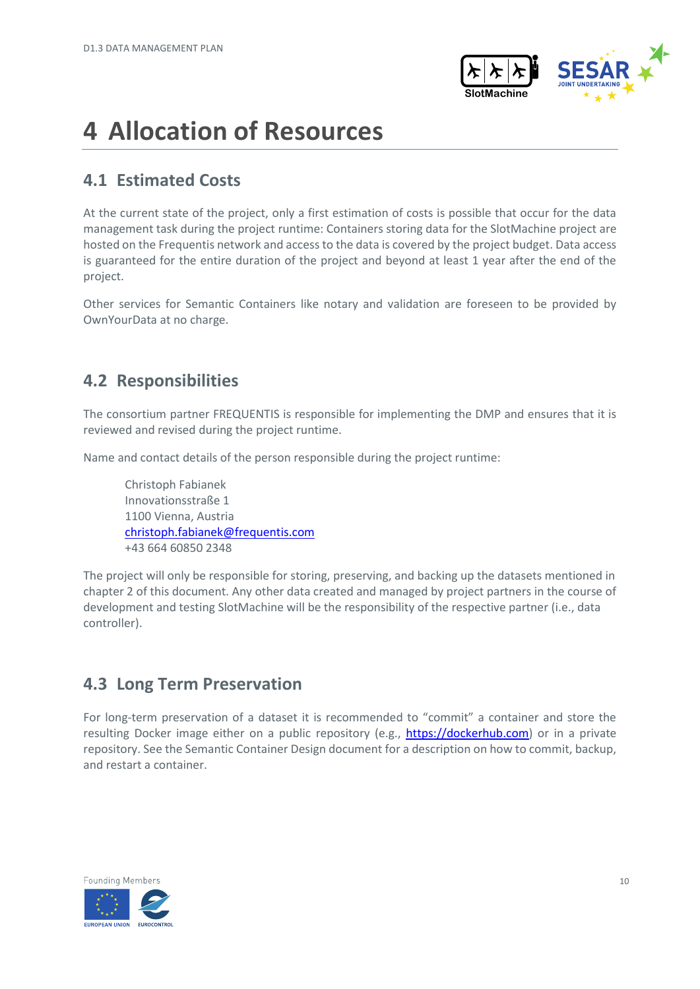

## <span id="page-9-0"></span>**4 Allocation of Resources**

### <span id="page-9-1"></span>**4.1 Estimated Costs**

At the current state of the project, only a first estimation of costs is possible that occur for the data management task during the project runtime: Containers storing data for the SlotMachine project are hosted on the Frequentis network and access to the data is covered by the project budget. Data access is guaranteed for the entire duration of the project and beyond at least 1 year after the end of the project.

Other services for Semantic Containers like notary and validation are foreseen to be provided by OwnYourData at no charge.

### <span id="page-9-2"></span>**4.2 Responsibilities**

The consortium partner FREQUENTIS is responsible for implementing the DMP and ensures that it is reviewed and revised during the project runtime.

Name and contact details of the person responsible during the project runtime:

Christoph Fabianek Innovationsstraße 1 1100 Vienna, Austria [christoph.fabianek@frequentis.com](mailto:christoph.fabianek@frequentis.com) +43 664 60850 2348

The project will only be responsible for storing, preserving, and backing up the datasets mentioned in chapter 2 of this document. Any other data created and managed by project partners in the course of development and testing SlotMachine will be the responsibility of the respective partner (i.e., data controller).

### <span id="page-9-3"></span>**4.3 Long Term Preservation**

For long-term preservation of a dataset it is recommended to "commit" a container and store the resulting Docker image either on a public repository (e.g., [https://dockerhub.com\)](https://dockerhub.com/) or in a private repository. See the Semantic Container Design document for a description on how to commit, backup, and restart a container.

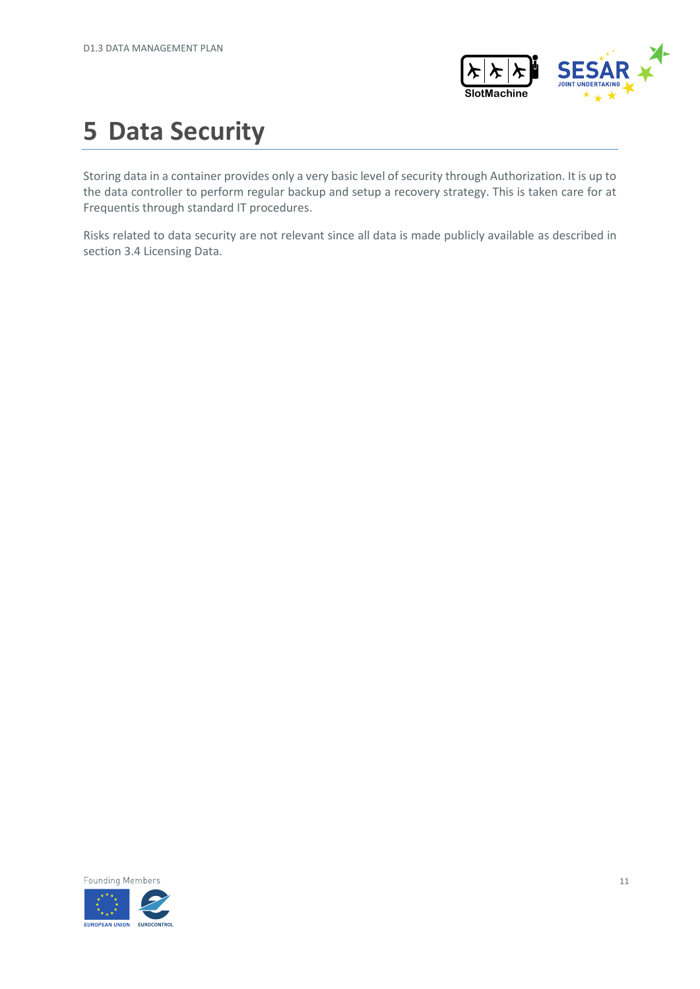

# <span id="page-10-0"></span>**5 Data Security**

Storing data in a container provides only a very basic level of security through Authorization. It is up to the data controller to perform regular backup and setup a recovery strategy. This is taken care for at Frequentis through standard IT procedures.

Risks related to data security are not relevant since all data is made publicly available as described in sectio[n 3.4](#page-8-1) Licensing Data.

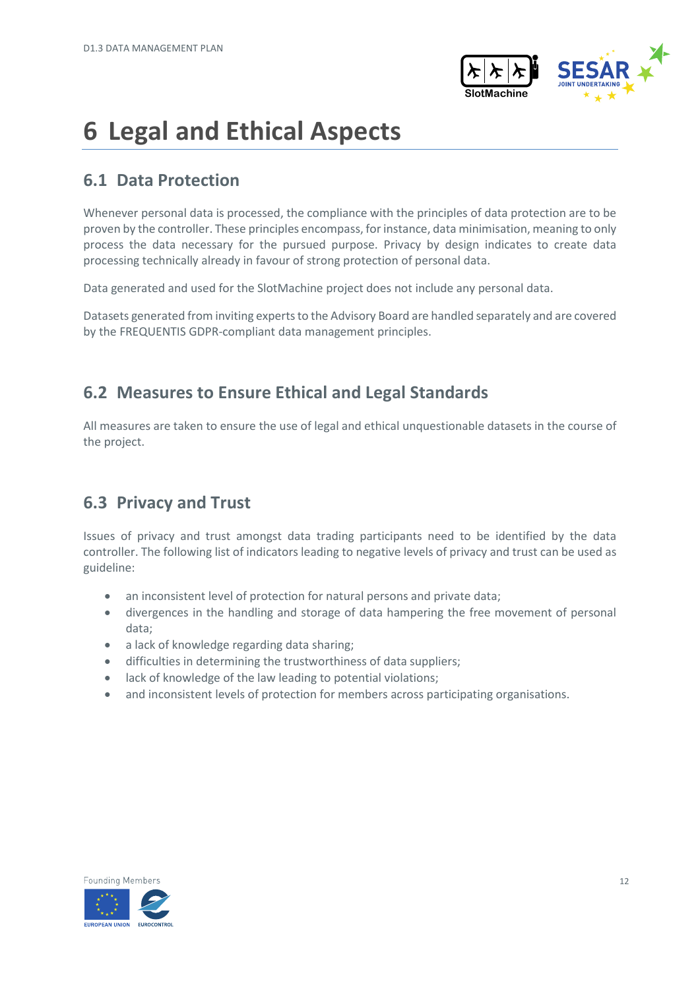

# <span id="page-11-0"></span>**6 Legal and Ethical Aspects**

### <span id="page-11-1"></span>**6.1 Data Protection**

Whenever personal data is processed, the compliance with the principles of data protection are to be proven by the controller. These principles encompass, for instance, data minimisation, meaning to only process the data necessary for the pursued purpose. Privacy by design indicates to create data processing technically already in favour of strong protection of personal data.

Data generated and used for the SlotMachine project does not include any personal data.

Datasets generated from inviting experts to the Advisory Board are handled separately and are covered by the FREQUENTIS GDPR-compliant data management principles.

### <span id="page-11-2"></span>**6.2 Measures to Ensure Ethical and Legal Standards**

All measures are taken to ensure the use of legal and ethical unquestionable datasets in the course of the project.

### <span id="page-11-3"></span>**6.3 Privacy and Trust**

Issues of privacy and trust amongst data trading participants need to be identified by the data controller. The following list of indicators leading to negative levels of privacy and trust can be used as guideline:

- an inconsistent level of protection for natural persons and private data;
- divergences in the handling and storage of data hampering the free movement of personal data;
- a lack of knowledge regarding data sharing;
- difficulties in determining the trustworthiness of data suppliers;
- lack of knowledge of the law leading to potential violations;
- and inconsistent levels of protection for members across participating organisations.

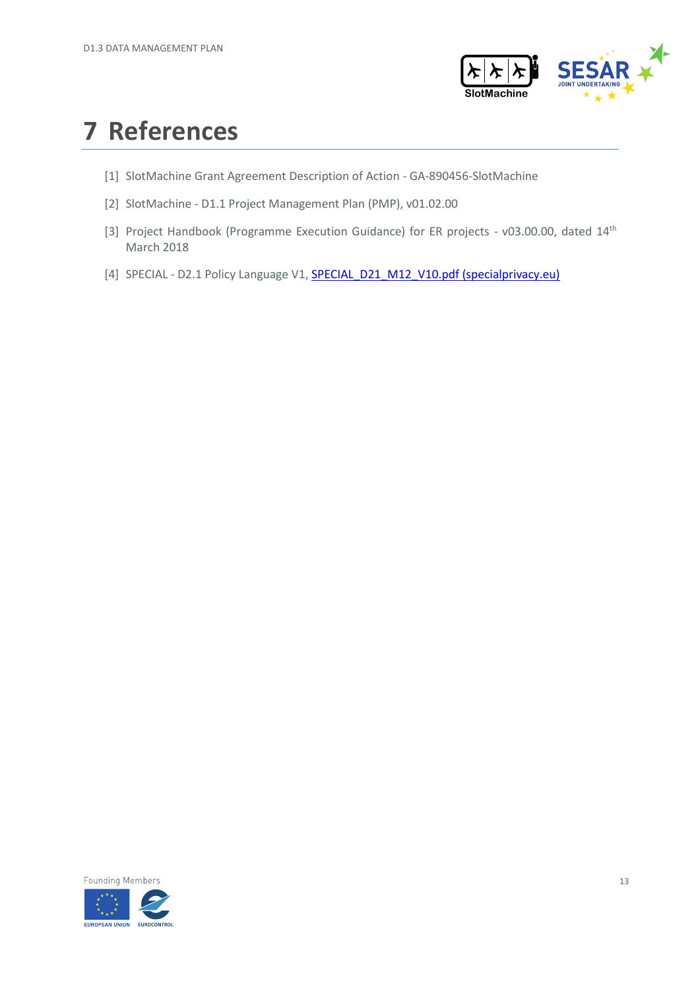

## <span id="page-12-0"></span>**7 References**

- <span id="page-12-1"></span>[1] SlotMachine Grant Agreement Description of Action - GA-890456-SlotMachine
- <span id="page-12-2"></span>[2] SlotMachine - D1.1 Project Management Plan (PMP), v01.02.00
- <span id="page-12-3"></span>[3] Project Handbook (Programme Execution Guidance) for ER projects - v03.00.00, dated 14<sup>th</sup> March 2018
- <span id="page-12-4"></span>[4] SPECIAL - D2.1 Policy Language V1, **SPECIAL\_D21\_M12\_V10.pdf (specialprivacy.eu)**